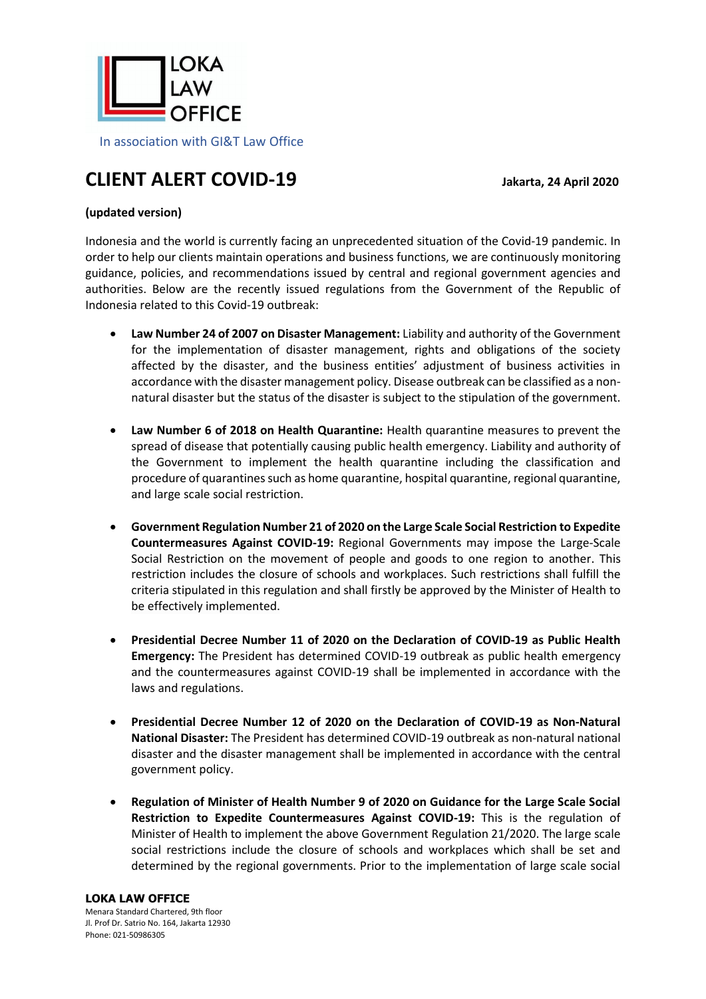

# **CLIENT ALERT COVID-19 Jakarta, <sup>24</sup> April 2020**

# **(updated version)**

Indonesia and the world is currently facing an unprecedented situation of the Covid-19 pandemic. In order to help our clients maintain operations and business functions, we are continuously monitoring guidance, policies, and recommendations issued by central and regional government agencies and authorities. Below are the recently issued regulations from the Government of the Republic of Indonesia related to this Covid-19 outbreak:

- **Law Number 24 of 2007 on Disaster Management:** Liability and authority of the Government for the implementation of disaster management, rights and obligations of the society affected by the disaster, and the business entities' adjustment of business activities in accordance with the disaster management policy. Disease outbreak can be classified as a nonnatural disaster but the status of the disaster is subject to the stipulation of the government.
- **Law Number 6 of 2018 on Health Quarantine:** Health quarantine measures to prevent the spread of disease that potentially causing public health emergency. Liability and authority of the Government to implement the health quarantine including the classification and procedure of quarantines such as home quarantine, hospital quarantine, regional quarantine, and large scale social restriction.
- **Government Regulation Number 21 of 2020 on the Large Scale Social Restriction to Expedite Countermeasures Against COVID-19:** Regional Governments may impose the Large-Scale Social Restriction on the movement of people and goods to one region to another. This restriction includes the closure of schools and workplaces. Such restrictions shall fulfill the criteria stipulated in this regulation and shall firstly be approved by the Minister of Health to be effectively implemented.
- **Presidential Decree Number 11 of 2020 on the Declaration of COVID-19 as Public Health Emergency:** The President has determined COVID-19 outbreak as public health emergency and the countermeasures against COVID-19 shall be implemented in accordance with the laws and regulations.
- **Presidential Decree Number 12 of 2020 on the Declaration of COVID-19 as Non-Natural National Disaster:** The President has determined COVID-19 outbreak as non-natural national disaster and the disaster management shall be implemented in accordance with the central government policy.
- **Regulation of Minister of Health Number 9 of 2020 on Guidance for the Large Scale Social Restriction to Expedite Countermeasures Against COVID-19:** This is the regulation of Minister of Health to implement the above Government Regulation 21/2020. The large scale social restrictions include the closure of schools and workplaces which shall be set and determined by the regional governments. Prior to the implementation of large scale social

#### **LOKA LAW OFFICE**

Menara Standard Chartered, 9th floor Jl. Prof Dr. Satrio No. 164, Jakarta 12930 Phone: 021-50986305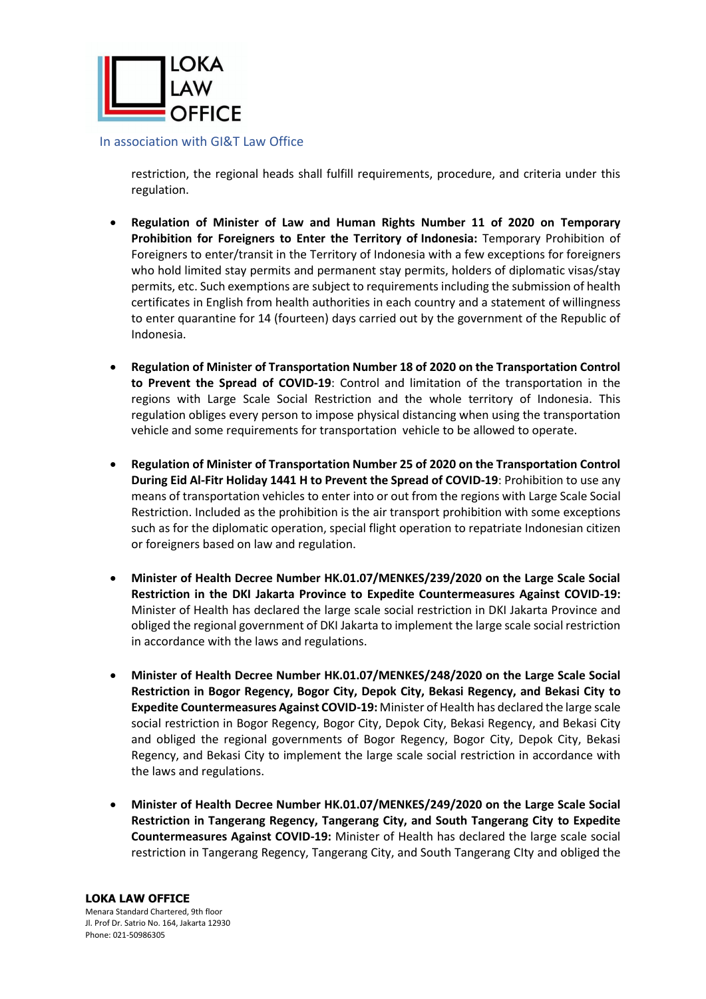

restriction, the regional heads shall fulfill requirements, procedure, and criteria under this regulation.

- **Regulation of Minister of Law and Human Rights Number 11 of 2020 on Temporary Prohibition for Foreigners to Enter the Territory of Indonesia:** Temporary Prohibition of Foreigners to enter/transit in the Territory of Indonesia with a few exceptions for foreigners who hold limited stay permits and permanent stay permits, holders of diplomatic visas/stay permits, etc. Such exemptions are subject to requirements including the submission of health certificates in English from health authorities in each country and a statement of willingness to enter quarantine for 14 (fourteen) days carried out by the government of the Republic of Indonesia.
- **Regulation of Minister of Transportation Number 18 of 2020 on the Transportation Control to Prevent the Spread of COVID-19**: Control and limitation of the transportation in the regions with Large Scale Social Restriction and the whole territory of Indonesia. This regulation obliges every person to impose physical distancing when using the transportation vehicle and some requirements for transportation vehicle to be allowed to operate.
- **Regulation of Minister of Transportation Number 25 of 2020 on the Transportation Control During Eid Al-Fitr Holiday 1441 H to Prevent the Spread of COVID-19**: Prohibition to use any means of transportation vehicles to enter into or out from the regions with Large Scale Social Restriction. Included as the prohibition is the air transport prohibition with some exceptions such as for the diplomatic operation, special flight operation to repatriate Indonesian citizen or foreigners based on law and regulation.
- **Minister of Health Decree Number HK.01.07/MENKES/239/2020 on the Large Scale Social Restriction in the DKI Jakarta Province to Expedite Countermeasures Against COVID-19:** Minister of Health has declared the large scale social restriction in DKI Jakarta Province and obliged the regional government of DKI Jakarta to implement the large scale social restriction in accordance with the laws and regulations.
- **Minister of Health Decree Number HK.01.07/MENKES/248/2020 on the Large Scale Social Restriction in Bogor Regency, Bogor City, Depok City, Bekasi Regency, and Bekasi City to Expedite Countermeasures Against COVID-19:** Minister of Health has declared the large scale social restriction in Bogor Regency, Bogor City, Depok City, Bekasi Regency, and Bekasi City and obliged the regional governments of Bogor Regency, Bogor City, Depok City, Bekasi Regency, and Bekasi City to implement the large scale social restriction in accordance with the laws and regulations.
- **Minister of Health Decree Number HK.01.07/MENKES/249/2020 on the Large Scale Social Restriction in Tangerang Regency, Tangerang City, and South Tangerang City to Expedite Countermeasures Against COVID-19:** Minister of Health has declared the large scale social restriction in Tangerang Regency, Tangerang City, and South Tangerang CIty and obliged the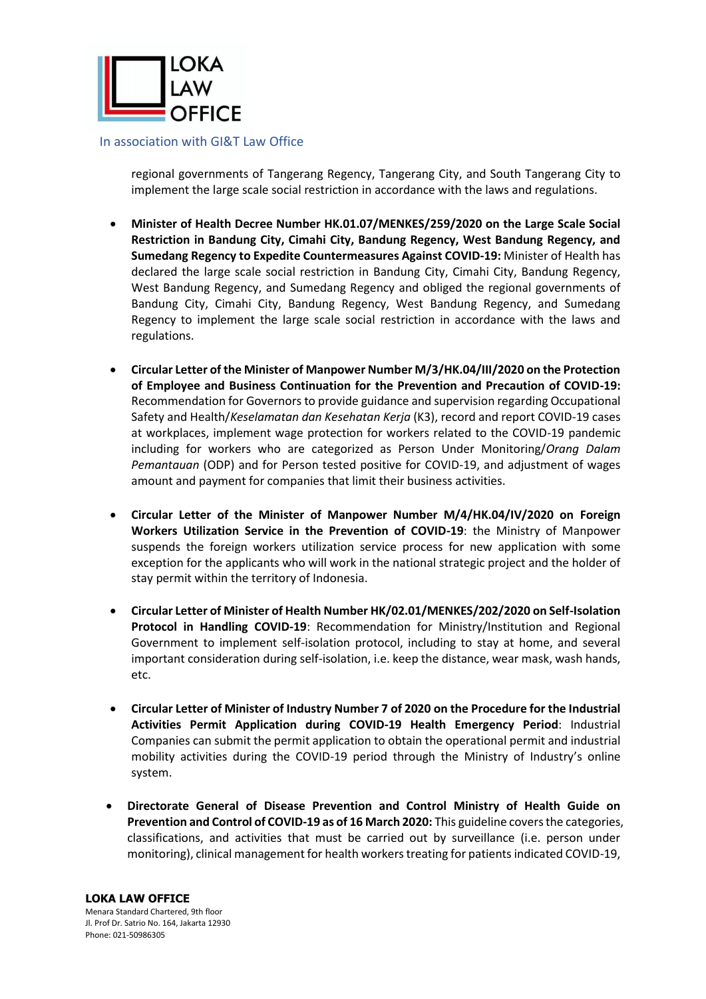

regional governments of Tangerang Regency, Tangerang City, and South Tangerang City to implement the large scale social restriction in accordance with the laws and regulations.

- **Minister of Health Decree Number HK.01.07/MENKES/259/2020 on the Large Scale Social Restriction in Bandung City, Cimahi City, Bandung Regency, West Bandung Regency, and Sumedang Regency to Expedite Countermeasures Against COVID-19:** Minister of Health has declared the large scale social restriction in Bandung City, Cimahi City, Bandung Regency, West Bandung Regency, and Sumedang Regency and obliged the regional governments of Bandung City, Cimahi City, Bandung Regency, West Bandung Regency, and Sumedang Regency to implement the large scale social restriction in accordance with the laws and regulations.
- **Circular Letter of the Minister of Manpower Number M/3/HK.04/III/2020 on the Protection of Employee and Business Continuation for the Prevention and Precaution of COVID-19:** Recommendation for Governors to provide guidance and supervision regarding Occupational Safety and Health/*Keselamatan dan Kesehatan Kerja* (K3), record and report COVID-19 cases at workplaces, implement wage protection for workers related to the COVID-19 pandemic including for workers who are categorized as Person Under Monitoring/*Orang Dalam Pemantauan* (ODP) and for Person tested positive for COVID-19, and adjustment of wages amount and payment for companies that limit their business activities.
- **Circular Letter of the Minister of Manpower Number M/4/HK.04/IV/2020 on Foreign Workers Utilization Service in the Prevention of COVID-19**: the Ministry of Manpower suspends the foreign workers utilization service process for new application with some exception for the applicants who will work in the national strategic project and the holder of stay permit within the territory of Indonesia.
- **Circular Letter of Minister of Health Number HK/02.01/MENKES/202/2020 on Self-Isolation Protocol in Handling COVID-19**: Recommendation for Ministry/Institution and Regional Government to implement self-isolation protocol, including to stay at home, and several important consideration during self-isolation, i.e. keep the distance, wear mask, wash hands, etc.
- **Circular Letter of Minister of Industry Number 7 of 2020 on the Procedure for the Industrial Activities Permit Application during COVID-19 Health Emergency Period**: Industrial Companies can submit the permit application to obtain the operational permit and industrial mobility activities during the COVID-19 period through the Ministry of Industry's online system.
- **Directorate General of Disease Prevention and Control Ministry of Health Guide on Prevention and Control of COVID-19 as of 16 March 2020:** This guideline covers the categories, classifications, and activities that must be carried out by surveillance (i.e. person under monitoring), clinical management for health workers treating for patients indicated COVID-19,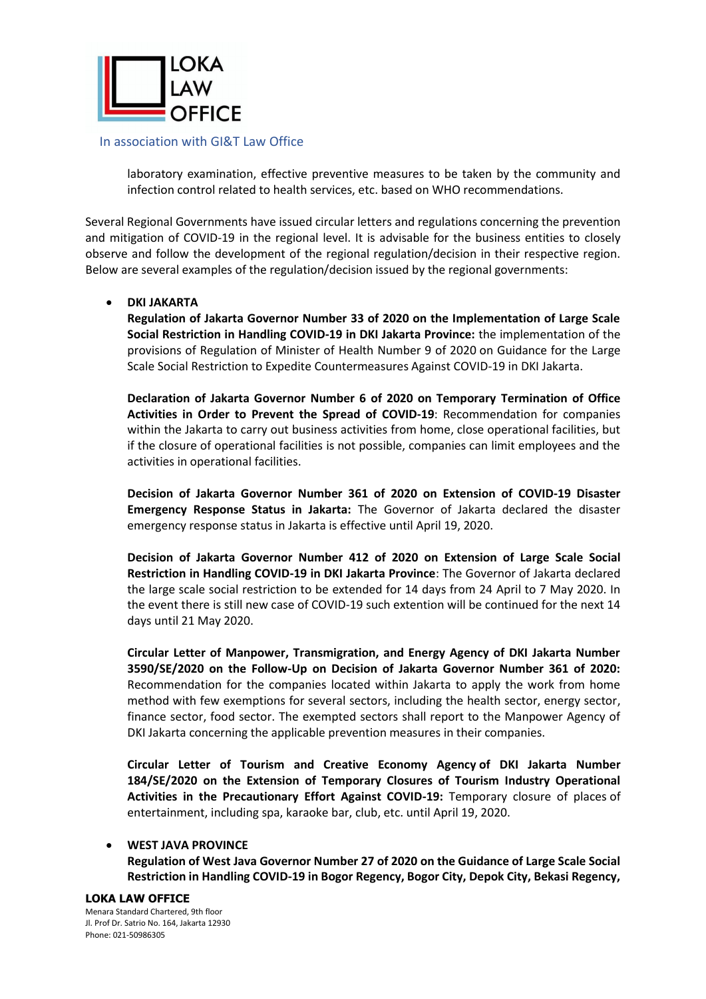

laboratory examination, effective preventive measures to be taken by the community and infection control related to health services, etc. based on WHO recommendations.

Several Regional Governments have issued circular letters and regulations concerning the prevention and mitigation of COVID-19 in the regional level. It is advisable for the business entities to closely observe and follow the development of the regional regulation/decision in their respective region. Below are several examples of the regulation/decision issued by the regional governments:

# • **DKI JAKARTA**

**Regulation of Jakarta Governor Number 33 of 2020 on the Implementation of Large Scale Social Restriction in Handling COVID-19 in DKI Jakarta Province:** the implementation of the provisions of Regulation of Minister of Health Number 9 of 2020 on Guidance for the Large Scale Social Restriction to Expedite Countermeasures Against COVID-19 in DKI Jakarta.

**Declaration of Jakarta Governor Number 6 of 2020 on Temporary Termination of Office Activities in Order to Prevent the Spread of COVID-19**: Recommendation for companies within the Jakarta to carry out business activities from home, close operational facilities, but if the closure of operational facilities is not possible, companies can limit employees and the activities in operational facilities.

**Decision of Jakarta Governor Number 361 of 2020 on Extension of COVID-19 Disaster Emergency Response Status in Jakarta:** The Governor of Jakarta declared the disaster emergency response status in Jakarta is effective until April 19, 2020.

**Decision of Jakarta Governor Number 412 of 2020 on Extension of Large Scale Social Restriction in Handling COVID-19 in DKI Jakarta Province**: The Governor of Jakarta declared the large scale social restriction to be extended for 14 days from 24 April to 7 May 2020. In the event there is still new case of COVID-19 such extention will be continued for the next 14 days until 21 May 2020.

**Circular Letter of Manpower, Transmigration, and Energy Agency of DKI Jakarta Number 3590/SE/2020 on the Follow-Up on Decision of Jakarta Governor Number 361 of 2020:** Recommendation for the companies located within Jakarta to apply the work from home method with few exemptions for several sectors, including the health sector, energy sector, finance sector, food sector. The exempted sectors shall report to the Manpower Agency of DKI Jakarta concerning the applicable prevention measures in their companies.

**Circular Letter of Tourism and Creative Economy Agency of DKI Jakarta Number 184/SE/2020 on the Extension of Temporary Closures of Tourism Industry Operational Activities in the Precautionary Effort Against COVID-19:** Temporary closure of places of entertainment, including spa, karaoke bar, club, etc. until April 19, 2020.

## • **WEST JAVA PROVINCE**

**Regulation of West Java Governor Number 27 of 2020 on the Guidance of Large Scale Social Restriction in Handling COVID-19 in Bogor Regency, Bogor City, Depok City, Bekasi Regency,** 

#### **LOKA LAW OFFICE**

Menara Standard Chartered, 9th floor Jl. Prof Dr. Satrio No. 164, Jakarta 12930 Phone: 021-50986305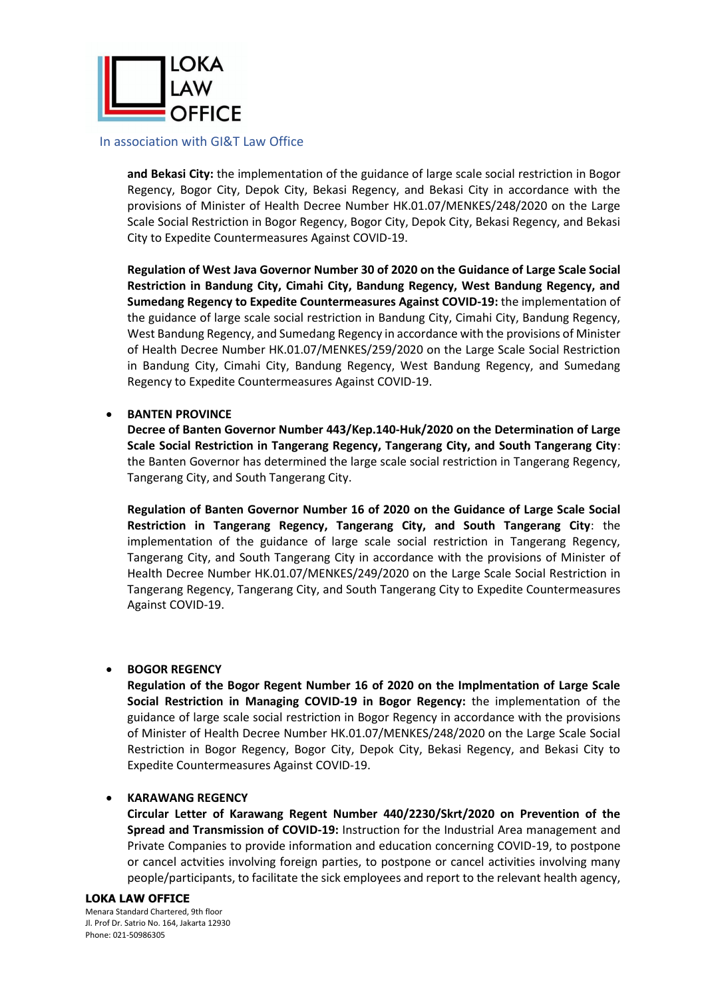

**and Bekasi City:** the implementation of the guidance of large scale social restriction in Bogor Regency, Bogor City, Depok City, Bekasi Regency, and Bekasi City in accordance with the provisions of Minister of Health Decree Number HK.01.07/MENKES/248/2020 on the Large Scale Social Restriction in Bogor Regency, Bogor City, Depok City, Bekasi Regency, and Bekasi City to Expedite Countermeasures Against COVID-19.

**Regulation of West Java Governor Number 30 of 2020 on the Guidance of Large Scale Social Restriction in Bandung City, Cimahi City, Bandung Regency, West Bandung Regency, and Sumedang Regency to Expedite Countermeasures Against COVID-19:** the implementation of the guidance of large scale social restriction in Bandung City, Cimahi City, Bandung Regency, West Bandung Regency, and Sumedang Regency in accordance with the provisions of Minister of Health Decree Number HK.01.07/MENKES/259/2020 on the Large Scale Social Restriction in Bandung City, Cimahi City, Bandung Regency, West Bandung Regency, and Sumedang Regency to Expedite Countermeasures Against COVID-19.

# • **BANTEN PROVINCE**

**Decree of Banten Governor Number 443/Kep.140-Huk/2020 on the Determination of Large Scale Social Restriction in Tangerang Regency, Tangerang City, and South Tangerang City**: the Banten Governor has determined the large scale social restriction in Tangerang Regency, Tangerang City, and South Tangerang City.

**Regulation of Banten Governor Number 16 of 2020 on the Guidance of Large Scale Social Restriction in Tangerang Regency, Tangerang City, and South Tangerang City**: the implementation of the guidance of large scale social restriction in Tangerang Regency, Tangerang City, and South Tangerang City in accordance with the provisions of Minister of Health Decree Number HK.01.07/MENKES/249/2020 on the Large Scale Social Restriction in Tangerang Regency, Tangerang City, and South Tangerang City to Expedite Countermeasures Against COVID-19.

# • **BOGOR REGENCY**

**Regulation of the Bogor Regent Number 16 of 2020 on the Implmentation of Large Scale Social Restriction in Managing COVID-19 in Bogor Regency:** the implementation of the guidance of large scale social restriction in Bogor Regency in accordance with the provisions of Minister of Health Decree Number HK.01.07/MENKES/248/2020 on the Large Scale Social Restriction in Bogor Regency, Bogor City, Depok City, Bekasi Regency, and Bekasi City to Expedite Countermeasures Against COVID-19.

## • **KARAWANG REGENCY**

**Circular Letter of Karawang Regent Number 440/2230/Skrt/2020 on Prevention of the Spread and Transmission of COVID-19:** Instruction for the Industrial Area management and Private Companies to provide information and education concerning COVID-19, to postpone or cancel actvities involving foreign parties, to postpone or cancel activities involving many people/participants, to facilitate the sick employees and report to the relevant health agency,

#### **LOKA LAW OFFICE**

Menara Standard Chartered, 9th floor Jl. Prof Dr. Satrio No. 164, Jakarta 12930 Phone: 021-50986305